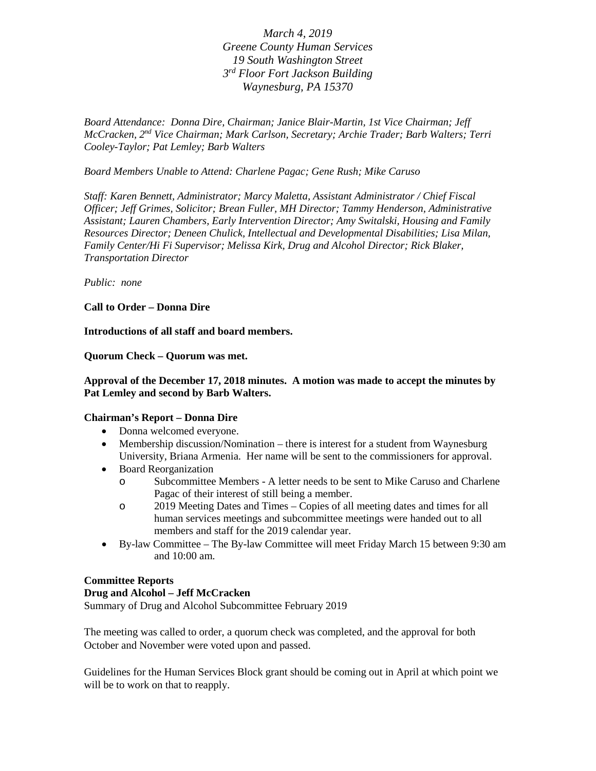*March 4, 2019 Greene County Human Services 19 South Washington Street 3rd Floor Fort Jackson Building Waynesburg, PA 15370*

*Board Attendance: Donna Dire, Chairman; Janice Blair-Martin, 1st Vice Chairman; Jeff McCracken, 2nd Vice Chairman; Mark Carlson, Secretary; Archie Trader; Barb Walters; Terri Cooley-Taylor; Pat Lemley; Barb Walters*

*Board Members Unable to Attend: Charlene Pagac; Gene Rush; Mike Caruso*

*Staff: Karen Bennett, Administrator; Marcy Maletta, Assistant Administrator / Chief Fiscal Officer; Jeff Grimes, Solicitor; Brean Fuller, MH Director; Tammy Henderson, Administrative Assistant; Lauren Chambers, Early Intervention Director; Amy Switalski, Housing and Family Resources Director; Deneen Chulick, Intellectual and Developmental Disabilities; Lisa Milan, Family Center/Hi Fi Supervisor; Melissa Kirk, Drug and Alcohol Director; Rick Blaker, Transportation Director*

*Public: none*

**Call to Order – Donna Dire**

**Introductions of all staff and board members.**

**Quorum Check – Quorum was met.**

## **Approval of the December 17, 2018 minutes. A motion was made to accept the minutes by Pat Lemley and second by Barb Walters.**

## **Chairman's Report – Donna Dire**

- Donna welcomed everyone.
- Membership discussion/Nomination there is interest for a student from Waynesburg University, Briana Armenia. Her name will be sent to the commissioners for approval.
- Board Reorganization
	- o Subcommittee Members A letter needs to be sent to Mike Caruso and Charlene Pagac of their interest of still being a member.
	- o 2019 Meeting Dates and Times Copies of all meeting dates and times for all human services meetings and subcommittee meetings were handed out to all members and staff for the 2019 calendar year.
- By-law Committee The By-law Committee will meet Friday March 15 between 9:30 am and 10:00 am.

### **Committee Reports**

### **Drug and Alcohol – Jeff McCracken**

Summary of Drug and Alcohol Subcommittee February 2019

The meeting was called to order, a quorum check was completed, and the approval for both October and November were voted upon and passed.

Guidelines for the Human Services Block grant should be coming out in April at which point we will be to work on that to reapply.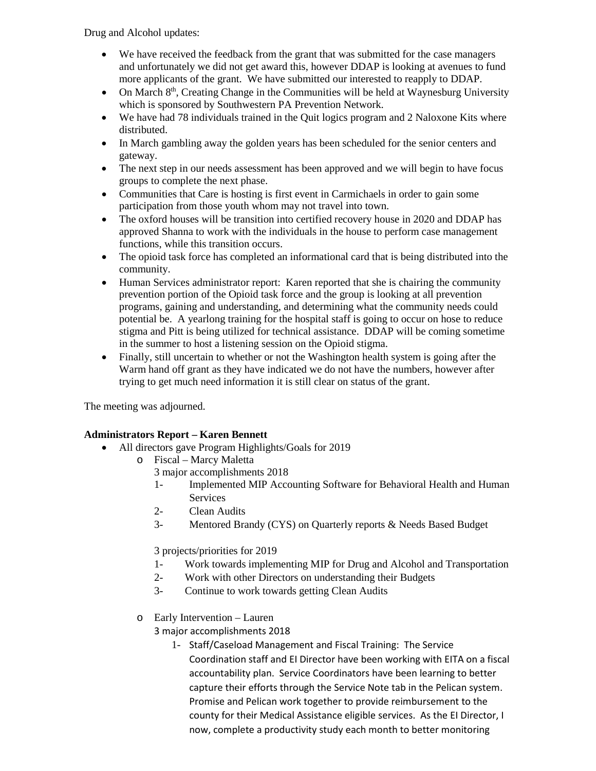Drug and Alcohol updates:

- We have received the feedback from the grant that was submitted for the case managers and unfortunately we did not get award this, however DDAP is looking at avenues to fund more applicants of the grant. We have submitted our interested to reapply to DDAP.
- On March 8th, Creating Change in the Communities will be held at Waynesburg University which is sponsored by Southwestern PA Prevention Network.
- We have had 78 individuals trained in the Quit logics program and 2 Naloxone Kits where distributed.
- In March gambling away the golden years has been scheduled for the senior centers and gateway.
- The next step in our needs assessment has been approved and we will begin to have focus groups to complete the next phase.
- Communities that Care is hosting is first event in Carmichaels in order to gain some participation from those youth whom may not travel into town.
- The oxford houses will be transition into certified recovery house in 2020 and DDAP has approved Shanna to work with the individuals in the house to perform case management functions, while this transition occurs.
- The opioid task force has completed an informational card that is being distributed into the community.
- Human Services administrator report: Karen reported that she is chairing the community prevention portion of the Opioid task force and the group is looking at all prevention programs, gaining and understanding, and determining what the community needs could potential be. A yearlong training for the hospital staff is going to occur on hose to reduce stigma and Pitt is being utilized for technical assistance. DDAP will be coming sometime in the summer to host a listening session on the Opioid stigma.
- Finally, still uncertain to whether or not the Washington health system is going after the Warm hand off grant as they have indicated we do not have the numbers, however after trying to get much need information it is still clear on status of the grant.

The meeting was adjourned.

## **Administrators Report – Karen Bennett**

- All directors gave Program Highlights/Goals for 2019
	- o Fiscal Marcy Maletta
		- 3 major accomplishments 2018
		- 1- Implemented MIP Accounting Software for Behavioral Health and Human Services
		- 2- Clean Audits
		- 3- Mentored Brandy (CYS) on Quarterly reports & Needs Based Budget

3 projects/priorities for 2019

- 1- Work towards implementing MIP for Drug and Alcohol and Transportation
- 2- Work with other Directors on understanding their Budgets
- 3- Continue to work towards getting Clean Audits
- o Early Intervention Lauren

3 major accomplishments 2018

1- Staff/Caseload Management and Fiscal Training: The Service Coordination staff and EI Director have been working with EITA on a fiscal accountability plan. Service Coordinators have been learning to better capture their efforts through the Service Note tab in the Pelican system. Promise and Pelican work together to provide reimbursement to the county for their Medical Assistance eligible services. As the EI Director, I now, complete a productivity study each month to better monitoring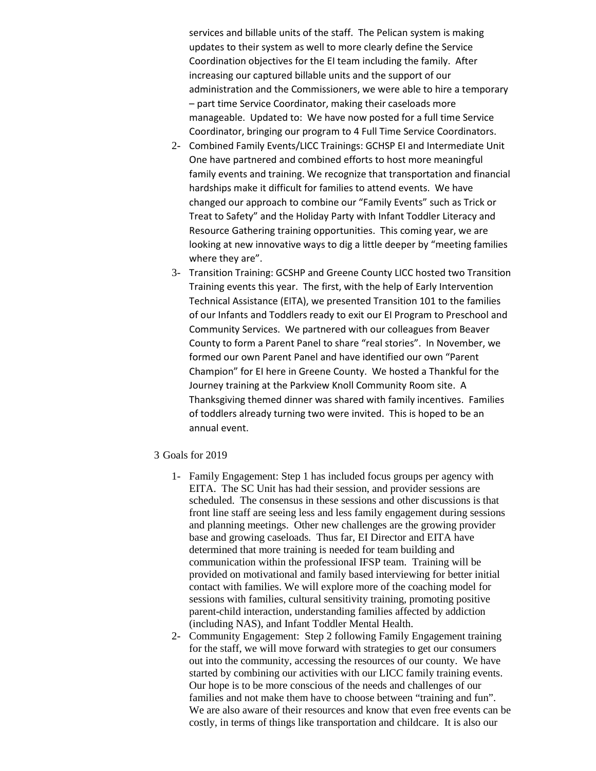services and billable units of the staff. The Pelican system is making updates to their system as well to more clearly define the Service Coordination objectives for the EI team including the family. After increasing our captured billable units and the support of our administration and the Commissioners, we were able to hire a temporary – part time Service Coordinator, making their caseloads more manageable. Updated to: We have now posted for a full time Service Coordinator, bringing our program to 4 Full Time Service Coordinators.

- 2- Combined Family Events/LICC Trainings: GCHSP EI and Intermediate Unit One have partnered and combined efforts to host more meaningful family events and training. We recognize that transportation and financial hardships make it difficult for families to attend events. We have changed our approach to combine our "Family Events" such as Trick or Treat to Safety" and the Holiday Party with Infant Toddler Literacy and Resource Gathering training opportunities. This coming year, we are looking at new innovative ways to dig a little deeper by "meeting families where they are".
- 3- Transition Training: GCSHP and Greene County LICC hosted two Transition Training events this year. The first, with the help of Early Intervention Technical Assistance (EITA), we presented Transition 101 to the families of our Infants and Toddlers ready to exit our EI Program to Preschool and Community Services. We partnered with our colleagues from Beaver County to form a Parent Panel to share "real stories". In November, we formed our own Parent Panel and have identified our own "Parent Champion" for EI here in Greene County. We hosted a Thankful for the Journey training at the Parkview Knoll Community Room site. A Thanksgiving themed dinner was shared with family incentives. Families of toddlers already turning two were invited. This is hoped to be an annual event.
- 3 Goals for 2019
	- 1- Family Engagement: Step 1 has included focus groups per agency with EITA. The SC Unit has had their session, and provider sessions are scheduled. The consensus in these sessions and other discussions is that front line staff are seeing less and less family engagement during sessions and planning meetings. Other new challenges are the growing provider base and growing caseloads. Thus far, EI Director and EITA have determined that more training is needed for team building and communication within the professional IFSP team. Training will be provided on motivational and family based interviewing for better initial contact with families. We will explore more of the coaching model for sessions with families, cultural sensitivity training, promoting positive parent-child interaction, understanding families affected by addiction (including NAS), and Infant Toddler Mental Health.
	- 2- Community Engagement: Step 2 following Family Engagement training for the staff, we will move forward with strategies to get our consumers out into the community, accessing the resources of our county. We have started by combining our activities with our LICC family training events. Our hope is to be more conscious of the needs and challenges of our families and not make them have to choose between "training and fun". We are also aware of their resources and know that even free events can be costly, in terms of things like transportation and childcare. It is also our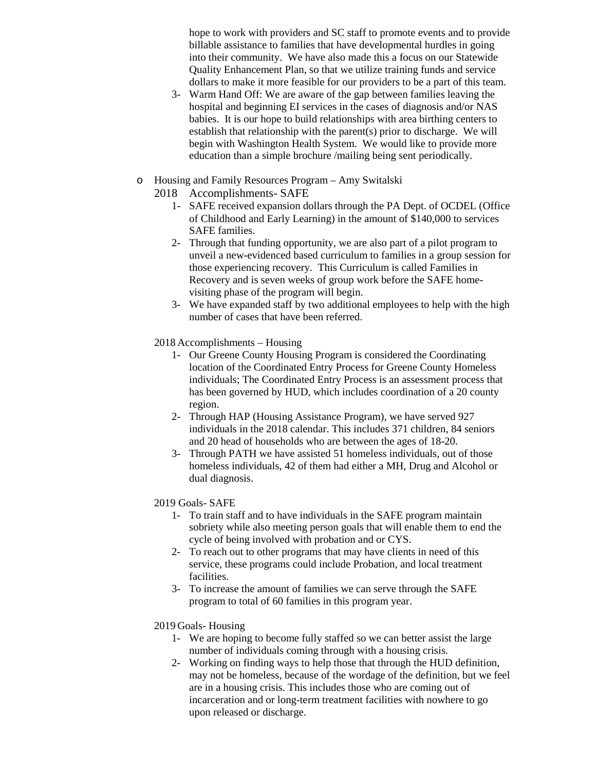hope to work with providers and SC staff to promote events and to provide billable assistance to families that have developmental hurdles in going into their community. We have also made this a focus on our Statewide Quality Enhancement Plan, so that we utilize training funds and service dollars to make it more feasible for our providers to be a part of this team.

- 3- Warm Hand Off: We are aware of the gap between families leaving the hospital and beginning EI services in the cases of diagnosis and/or NAS babies. It is our hope to build relationships with area birthing centers to establish that relationship with the parent(s) prior to discharge. We will begin with Washington Health System. We would like to provide more education than a simple brochure /mailing being sent periodically.
- o Housing and Family Resources Program Amy Switalski
	- 2018 Accomplishments- SAFE
		- 1- SAFE received expansion dollars through the PA Dept. of OCDEL (Office of Childhood and Early Learning) in the amount of \$140,000 to services SAFE families.
		- 2- Through that funding opportunity, we are also part of a pilot program to unveil a new-evidenced based curriculum to families in a group session for those experiencing recovery. This Curriculum is called Families in Recovery and is seven weeks of group work before the SAFE homevisiting phase of the program will begin.
		- 3- We have expanded staff by two additional employees to help with the high number of cases that have been referred.
	- 2018 Accomplishments Housing
		- 1- Our Greene County Housing Program is considered the Coordinating location of the Coordinated Entry Process for Greene County Homeless individuals; The Coordinated Entry Process is an assessment process that has been governed by HUD, which includes coordination of a 20 county region.
		- 2- Through HAP (Housing Assistance Program), we have served 927 individuals in the 2018 calendar. This includes 371 children, 84 seniors and 20 head of households who are between the ages of 18-20.
		- 3- Through PATH we have assisted 51 homeless individuals, out of those homeless individuals, 42 of them had either a MH, Drug and Alcohol or dual diagnosis.
	- 2019 Goals- SAFE
		- 1- To train staff and to have individuals in the SAFE program maintain sobriety while also meeting person goals that will enable them to end the cycle of being involved with probation and or CYS.
		- 2- To reach out to other programs that may have clients in need of this service, these programs could include Probation, and local treatment facilities.
		- 3- To increase the amount of families we can serve through the SAFE program to total of 60 families in this program year.

## 2019 Goals- Housing

- 1- We are hoping to become fully staffed so we can better assist the large number of individuals coming through with a housing crisis.
- 2- Working on finding ways to help those that through the HUD definition, may not be homeless, because of the wordage of the definition, but we feel are in a housing crisis. This includes those who are coming out of incarceration and or long-term treatment facilities with nowhere to go upon released or discharge.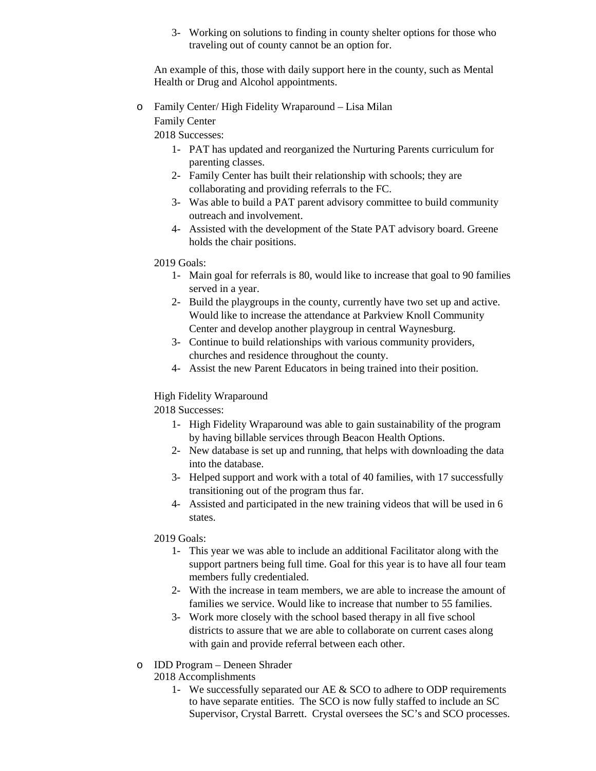3- Working on solutions to finding in county shelter options for those who traveling out of county cannot be an option for.

An example of this, those with daily support here in the county, such as Mental Health or Drug and Alcohol appointments.

o Family Center/ High Fidelity Wraparound – Lisa Milan Family Center

2018 Successes:

- 1- PAT has updated and reorganized the Nurturing Parents curriculum for parenting classes.
- 2- Family Center has built their relationship with schools; they are collaborating and providing referrals to the FC.
- 3- Was able to build a PAT parent advisory committee to build community outreach and involvement.
- 4- Assisted with the development of the State PAT advisory board. Greene holds the chair positions.

# 2019 Goals:

- 1- Main goal for referrals is 80, would like to increase that goal to 90 families served in a year.
- 2- Build the playgroups in the county, currently have two set up and active. Would like to increase the attendance at Parkview Knoll Community Center and develop another playgroup in central Waynesburg.
- 3- Continue to build relationships with various community providers, churches and residence throughout the county.
- 4- Assist the new Parent Educators in being trained into their position.

# High Fidelity Wraparound

2018 Successes:

- 1- High Fidelity Wraparound was able to gain sustainability of the program by having billable services through Beacon Health Options.
- 2- New database is set up and running, that helps with downloading the data into the database.
- 3- Helped support and work with a total of 40 families, with 17 successfully transitioning out of the program thus far.
- 4- Assisted and participated in the new training videos that will be used in 6 states.

## 2019 Goals:

- 1- This year we was able to include an additional Facilitator along with the support partners being full time. Goal for this year is to have all four team members fully credentialed.
- 2- With the increase in team members, we are able to increase the amount of families we service. Would like to increase that number to 55 families.
- 3- Work more closely with the school based therapy in all five school districts to assure that we are able to collaborate on current cases along with gain and provide referral between each other.
- o IDD Program Deneen Shrader

2018 Accomplishments

1- We successfully separated our AE & SCO to adhere to ODP requirements to have separate entities. The SCO is now fully staffed to include an SC Supervisor, Crystal Barrett. Crystal oversees the SC's and SCO processes.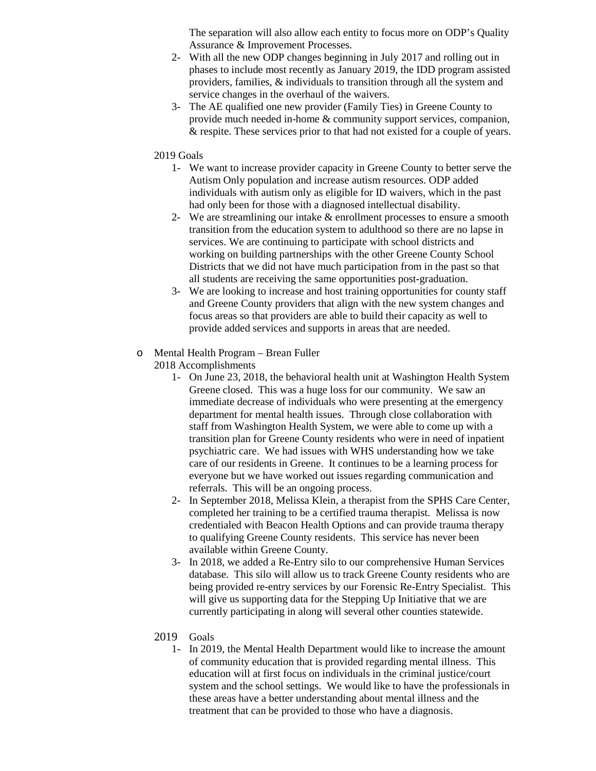The separation will also allow each entity to focus more on ODP's Quality Assurance & Improvement Processes.

- 2- With all the new ODP changes beginning in July 2017 and rolling out in phases to include most recently as January 2019, the IDD program assisted providers, families, & individuals to transition through all the system and service changes in the overhaul of the waivers.
- 3- The AE qualified one new provider (Family Ties) in Greene County to provide much needed in-home & community support services, companion, & respite. These services prior to that had not existed for a couple of years.

### 2019 Goals

- 1- We want to increase provider capacity in Greene County to better serve the Autism Only population and increase autism resources. ODP added individuals with autism only as eligible for ID waivers, which in the past had only been for those with a diagnosed intellectual disability.
- 2- We are streamlining our intake & enrollment processes to ensure a smooth transition from the education system to adulthood so there are no lapse in services. We are continuing to participate with school districts and working on building partnerships with the other Greene County School Districts that we did not have much participation from in the past so that all students are receiving the same opportunities post-graduation.
- 3- We are looking to increase and host training opportunities for county staff and Greene County providers that align with the new system changes and focus areas so that providers are able to build their capacity as well to provide added services and supports in areas that are needed.

# o Mental Health Program – Brean Fuller

- 2018 Accomplishments
	- 1- On June 23, 2018, the behavioral health unit at Washington Health System Greene closed. This was a huge loss for our community. We saw an immediate decrease of individuals who were presenting at the emergency department for mental health issues. Through close collaboration with staff from Washington Health System, we were able to come up with a transition plan for Greene County residents who were in need of inpatient psychiatric care. We had issues with WHS understanding how we take care of our residents in Greene. It continues to be a learning process for everyone but we have worked out issues regarding communication and referrals. This will be an ongoing process.
	- 2- In September 2018, Melissa Klein, a therapist from the SPHS Care Center, completed her training to be a certified trauma therapist. Melissa is now credentialed with Beacon Health Options and can provide trauma therapy to qualifying Greene County residents. This service has never been available within Greene County.
	- 3- In 2018, we added a Re-Entry silo to our comprehensive Human Services database. This silo will allow us to track Greene County residents who are being provided re-entry services by our Forensic Re-Entry Specialist. This will give us supporting data for the Stepping Up Initiative that we are currently participating in along will several other counties statewide.

### 2019 Goals

1- In 2019, the Mental Health Department would like to increase the amount of community education that is provided regarding mental illness. This education will at first focus on individuals in the criminal justice/court system and the school settings. We would like to have the professionals in these areas have a better understanding about mental illness and the treatment that can be provided to those who have a diagnosis.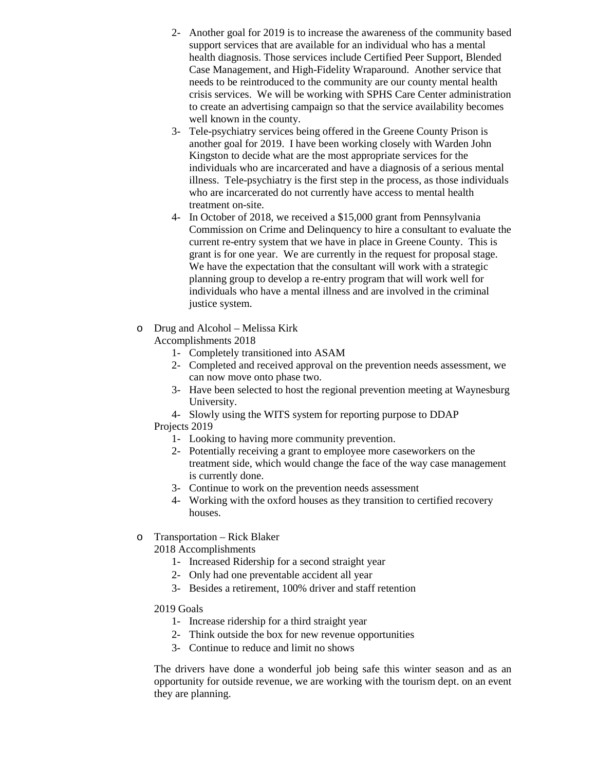- 2- Another goal for 2019 is to increase the awareness of the community based support services that are available for an individual who has a mental health diagnosis. Those services include Certified Peer Support, Blended Case Management, and High-Fidelity Wraparound. Another service that needs to be reintroduced to the community are our county mental health crisis services. We will be working with SPHS Care Center administration to create an advertising campaign so that the service availability becomes well known in the county.
- 3- Tele-psychiatry services being offered in the Greene County Prison is another goal for 2019. I have been working closely with Warden John Kingston to decide what are the most appropriate services for the individuals who are incarcerated and have a diagnosis of a serious mental illness. Tele-psychiatry is the first step in the process, as those individuals who are incarcerated do not currently have access to mental health treatment on-site.
- 4- In October of 2018, we received a \$15,000 grant from Pennsylvania Commission on Crime and Delinquency to hire a consultant to evaluate the current re-entry system that we have in place in Greene County. This is grant is for one year. We are currently in the request for proposal stage. We have the expectation that the consultant will work with a strategic planning group to develop a re-entry program that will work well for individuals who have a mental illness and are involved in the criminal justice system.
- o Drug and Alcohol Melissa Kirk

Accomplishments 2018

- 1- Completely transitioned into ASAM
- 2- Completed and received approval on the prevention needs assessment, we can now move onto phase two.
- 3- Have been selected to host the regional prevention meeting at Waynesburg University.
- 4- Slowly using the WITS system for reporting purpose to DDAP Projects 2019
	- 1- Looking to having more community prevention.
	- 2- Potentially receiving a grant to employee more caseworkers on the treatment side, which would change the face of the way case management is currently done.
	- 3- Continue to work on the prevention needs assessment
	- 4- Working with the oxford houses as they transition to certified recovery houses.
- o Transportation Rick Blaker

2018 Accomplishments

- 1- Increased Ridership for a second straight year
- 2- Only had one preventable accident all year
- 3- Besides a retirement, 100% driver and staff retention

2019 Goals

- 1- Increase ridership for a third straight year
- 2- Think outside the box for new revenue opportunities
- 3- Continue to reduce and limit no shows

The drivers have done a wonderful job being safe this winter season and as an opportunity for outside revenue, we are working with the tourism dept. on an event they are planning.